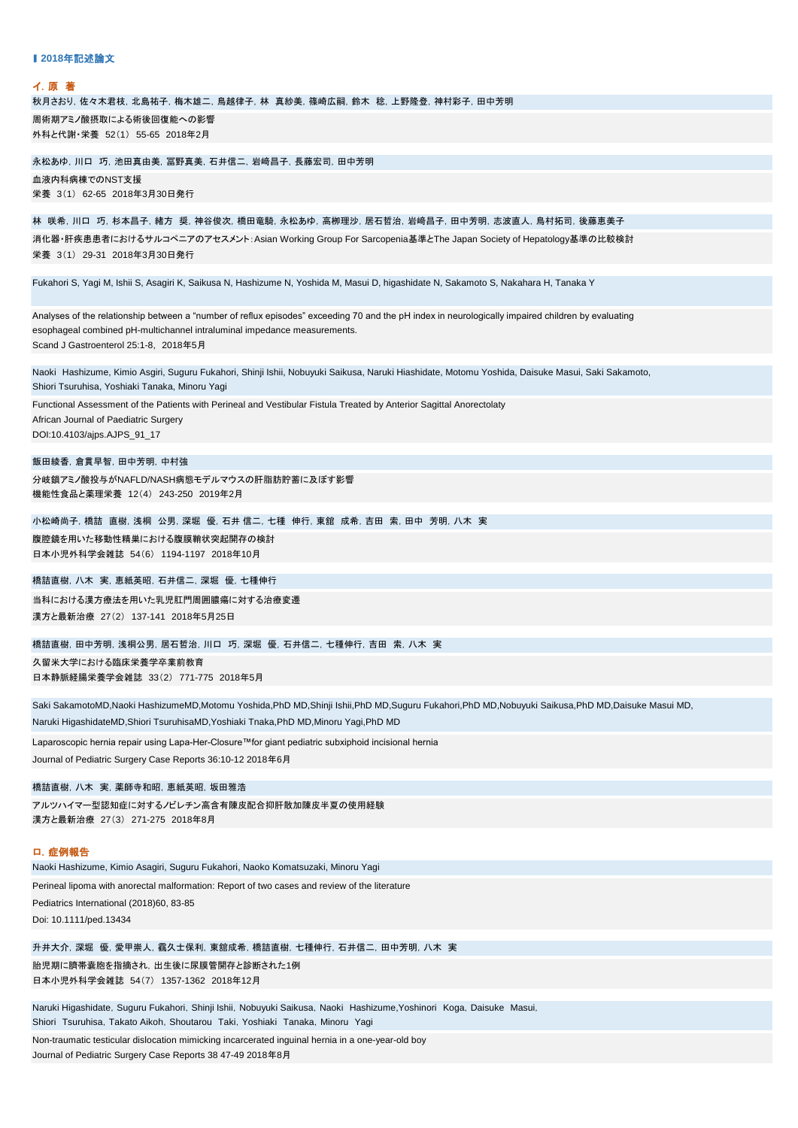| ▌2018年記述論文                                                                                                                                                                                                                                                              |
|-------------------------------------------------------------------------------------------------------------------------------------------------------------------------------------------------------------------------------------------------------------------------|
| イ.原 著                                                                                                                                                                                                                                                                   |
| 秋月さおり, 佐々木君枝, 北島祐子, 梅木雄二, 鳥越律子, 林 真紗美, 篠崎広嗣, 鈴木 稔, 上野隆登, 神村彩子, 田中芳明                                                                                                                                                                                                     |
| 周術期アミノ酸摂取による術後回復能への影響<br>外科と代謝・栄養 52(1) 55-65 2018年2月                                                                                                                                                                                                                   |
| 永松あゆ, 川口 巧, 池田真由美, 冨野真美, 石井信二, 岩﨑昌子, 長藤宏司, 田中芳明                                                                                                                                                                                                                         |
| 血液内科病棟でのNST支援<br>栄養 3(1) 62-65 2018年3月30日発行                                                                                                                                                                                                                             |
| 林 咲希, 川口 巧, 杉本昌子, 緒方 奨, 神谷俊次, 橋田竜騎, 永松あゆ, 高栁理沙, 居石哲治, 岩﨑昌子, 田中芳明, 志波直人, 鳥村拓司, 後藤恵美子                                                                                                                                                                                     |
| 消化器・肝疾患患者におけるサルコペニアのアセスメント: Asian Working Group For Sarcopenia基準とThe Japan Society of Hepatology基準の比較検討<br>栄養 3(1) 29-31 2018年3月30日発行                                                                                                                                   |
| Fukahori S, Yagi M, Ishii S, Asagiri K, Saikusa N, Hashizume N, Yoshida M, Masui D, higashidate N, Sakamoto S, Nakahara H, Tanaka Y                                                                                                                                     |
| Analyses of the relationship between a "number of reflux episodes" exceeding 70 and the pH index in neurologically impaired children by evaluating<br>esophageal combined pH-multichannel intraluminal impedance measurements.<br>Scand J Gastroenterol 25:1-8, 2018年5月 |
| Naoki Hashizume, Kimio Asgiri, Suguru Fukahori, Shinji Ishii, Nobuyuki Saikusa, Naruki Hiashidate, Motomu Yoshida, Daisuke Masui, Saki Sakamoto,<br>Shiori Tsuruhisa, Yoshiaki Tanaka, Minoru Yagi                                                                      |
| Functional Assessment of the Patients with Perineal and Vestibular Fistula Treated by Anterior Sagittal Anorectolaty<br>African Journal of Paediatric Surgery<br>DOI:10.4103/ajps.AJPS_91_17                                                                            |
| 飯田綾香,倉貫早智,田中芳明,中村強                                                                                                                                                                                                                                                      |
| 分岐鎖アミノ酸投与がNAFLD/NASH病態モデルマウスの肝脂肪貯蓄に及ぼす影響<br>機能性食品と薬理栄養 12(4) 243-250 2019年2月                                                                                                                                                                                            |
| 小松崎尚子, 橋詰 直樹, 浅桐 公男, 深堀 優, 石井 信二, 七種 伸行, 東舘 成希, 吉田 索, 田中 芳明, 八木 実                                                                                                                                                                                                       |
| 腹腔鏡を用いた移動性精巣における腹膜鞘状突起開存の検討<br>日本小児外科学会雑誌 54(6) 1194-1197 2018年10月                                                                                                                                                                                                      |
| 橋詰直樹, 八木 実, 恵紙英昭, 石井信二, 深堀 優, 七種伸行                                                                                                                                                                                                                                      |
| 当科における漢方療法を用いた乳児肛門周囲膿瘍に対する治療変遷<br>漢方と最新治療 27(2) 137-141 2018年5月25日                                                                                                                                                                                                      |
| 橋詰直樹, 田中芳明, 浅桐公男, 居石哲治, 川口 巧, 深堀 優, 石井信二, 七種伸行, 吉田 索, 八木 実                                                                                                                                                                                                              |
| 久留米大学における臨床栄養学卒業前教育<br>日本静脈経腸栄養学会雑誌 33(2) 771-775 2018年5月                                                                                                                                                                                                               |
| Saki SakamotoMD,Naoki HashizumeMD,Motomu Yoshida,PhD MD,Shinji Ishii,PhD MD,Suquru Fukahori,PhD MD,Nobuyuki Saikusa,PhD MD,Daisuke Masui MD,                                                                                                                            |
| Naruki HigashidateMD,Shiori TsuruhisaMD,Yoshiaki Tnaka,PhD MD,Minoru Yagi,PhD MD                                                                                                                                                                                        |
| Laparoscopic hernia repair using Lapa-Her-Closure™for giant pediatric subxiphoid incisional hernia<br>Journal of Pediatric Surgery Case Reports 36:10-12 2018年6月                                                                                                        |
| 橋詰直樹, 八木 実, 薬師寺和昭, 恵紙英昭, 坂田雅浩                                                                                                                                                                                                                                           |
| アルツハイマ一型認知症に対するノビレチン高含有陳皮配合抑肝散加陳皮半夏の使用経験<br>漢方と最新治療 27(3) 271-275 2018年8月                                                                                                                                                                                               |
| 口.症例報告<br>Naoki Hashizume, Kimio Asagiri, Suguru Fukahori, Naoko Komatsuzaki, Minoru Yagi                                                                                                                                                                               |

Perineal lipoma with anorectal malformation: Report of two cases and review of the literature

Doi: 10.1111/ped.13434 Pediatrics International (2018)60, 83-85

日本小児外科学会雑誌 54(7) 1357-1362 2018年12月 胎児期に臍帯嚢胞を指摘され,出生後に尿膜管開存と診断された1例 升井大介,深堀 優,愛甲崇人,靍久士保利,東舘成希,橋詰直樹,七種伸行,石井信二,田中芳明,八木 実

Shiori Tsuruhisa, Takato Aikoh, Shoutarou Taki, Yoshiaki Tanaka, Minoru Yagi Naruki Higashidate, Suguru Fukahori, Shinji Ishii, Nobuyuki Saikusa, Naoki Hashizume,Yoshinori Koga, Daisuke Masui,

Journal of Pediatric Surgery Case Reports 38 47-49 2018年8月 Non-traumatic testicular dislocation mimicking incarcerated inguinal hernia in a one-year-old boy